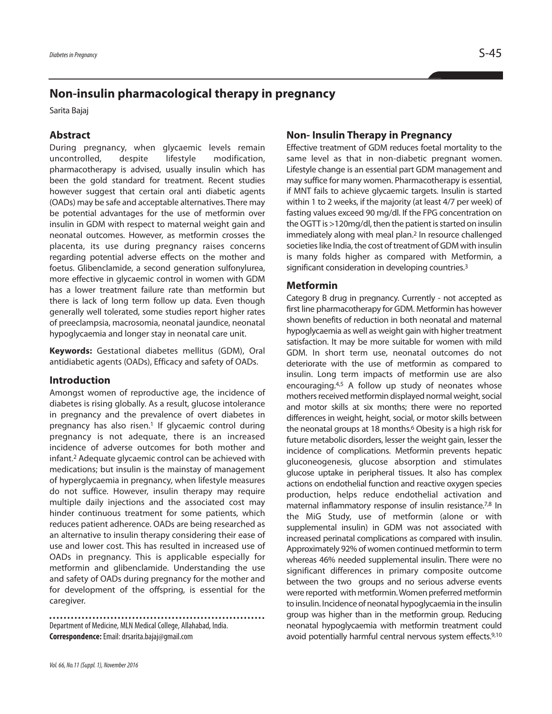# **Non-insulin pharmacological therapy in pregnancy**

Sarita Bajaj

## **Abstract**

During pregnancy, when glycaemic levels remain uncontrolled, despite lifestyle modification, pharmacotherapy is advised, usually insulin which has been the gold standard for treatment. Recent studies however suggest that certain oral anti diabetic agents (OADs) may be safe and acceptable alternatives. There may be potential advantages for the use of metformin over insulin in GDM with respect to maternal weight gain and neonatal outcomes. However, as metformin crosses the placenta, its use during pregnancy raises concerns regarding potential adverse effects on the mother and foetus. Glibenclamide, a second generation sulfonylurea, more effective in glycaemic control in women with GDM has a lower treatment failure rate than metformin but there is lack of long term follow up data. Even though generally well tolerated, some studies report higher rates of preeclampsia, macrosomia, neonatal jaundice, neonatal hypoglycaemia and longer stay in neonatal care unit.

**Keywords:** Gestational diabetes mellitus (GDM), Oral antidiabetic agents (OADs), Efficacy and safety of OADs.

#### **Introduction**

Amongst women of reproductive age, the incidence of diabetes is rising globally. As a result, glucose intolerance in pregnancy and the prevalence of overt diabetes in pregnancy has also risen. <sup>1</sup> If glycaemic control during pregnancy is not adequate, there is an increased incidence of adverse outcomes for both mother and infant. <sup>2</sup> Adequate glycaemic control can be achieved with medications; but insulin is the mainstay of management of hyperglycaemia in pregnancy, when lifestyle measures do not suffice. However, insulin therapy may require multiple daily injections and the associated cost may hinder continuous treatment for some patients, which reduces patient adherence. OADs are being researched as an alternative to insulin therapy considering their ease of use and lower cost. This has resulted in increased use of OADs in pregnancy. This is applicable especially for metformin and glibenclamide. Understanding the use and safety of OADs during pregnancy for the mother and for development of the offspring, is essential for the caregiver.

Department of Medicine, MLN Medical College, Allahabad, India. **Correspondence:**Email:drsarita.bajaj@gmail.com

## **Non- Insulin Therapy in Pregnancy**

Effective treatment of GDM reduces foetal mortality to the same level as that in non-diabetic pregnant women. Lifestyle change is an essential part GDM management and may suffice for many women. Pharmacotherapy is essential, if MNT fails to achieve glycaemic targets. Insulin is started within 1 to 2 weeks, if the majority (at least 4/7 per week) of fasting values exceed 90 mg/dl. If the FPG concentration on the OGTT is >120mg/dl, then the patient is started on insulin immediately along with meal plan. <sup>2</sup> In resource challenged societies like India, the cost of treatment of GDM with insulin is many folds higher as compared with Metformin, a significant consideration in developing countries.<sup>3</sup>

#### **Metformin**

Category B drug in pregnancy. Currently - not accepted as first line pharmacotherapy for GDM. Metformin has however shown benefits of reduction in both neonatal and maternal hypoglycaemia as well as weight gain with higher treatment satisfaction. It may be more suitable for women with mild GDM. In short term use, neonatal outcomes do not deteriorate with the use of metformin as compared to insulin. Long term impacts of metformin use are also encouraging. 4,5 A follow up study of neonates whose mothers received metformin displayed normal weight, social and motor skills at six months; there were no reported differences in weight, height, social, or motor skills between the neonatal groups at 18 months. <sup>6</sup> Obesity is a high risk for future metabolic disorders, lesser the weight gain, lesser the incidence of complications. Metformin prevents hepatic gluconeogenesis, glucose absorption and stimulates glucose uptake in peripheral tissues. It also has complex actions on endothelial function and reactive oxygen species production, helps reduce endothelial activation and maternal inflammatory response of insulin resistance.<sup>7,8</sup> In the MiG Study, use of metformin (alone or with supplemental insulin) in GDM was not associated with increased perinatal complications as compared with insulin. Approximately 92% of women continued metformin to term whereas 46% needed supplemental insulin. There were no significant differences in primary composite outcome between the two groups and no serious adverse events were reported with metformin. Women preferred metformin to insulin. Incidence of neonatal hypoglycaemia in the insulin group was higher than in the metformin group. Reducing neonatal hypoglycaemia with metformin treatment could avoid potentially harmful central nervous system effects. 9,10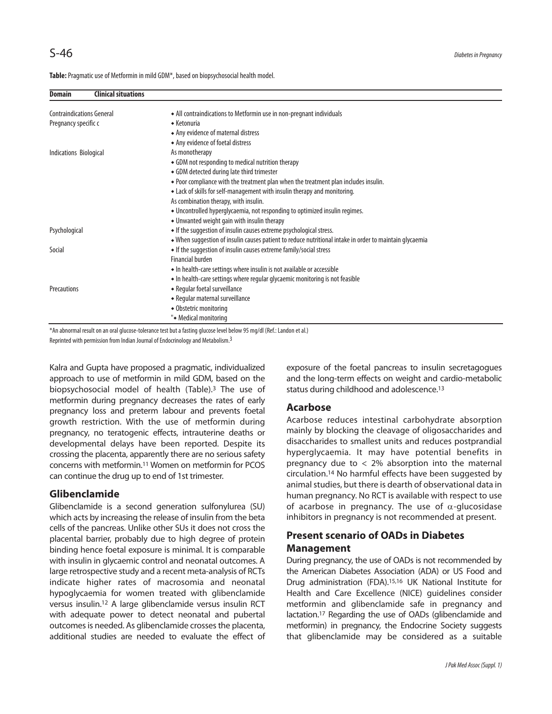Table: Pragmatic use of Metformin in mild GDM\*, based on biopsychosocial health model.

| <b>Clinical situations</b><br><b>Domain</b> |                                                                                                         |
|---------------------------------------------|---------------------------------------------------------------------------------------------------------|
| <b>Contraindications General</b>            | • All contraindications to Metformin use in non-pregnant individuals                                    |
| Pregnancy specific c                        | $\bullet$ Ketonuria                                                                                     |
|                                             | • Any evidence of maternal distress                                                                     |
|                                             | • Any evidence of foetal distress                                                                       |
| Indications Biological                      | As monotherapy                                                                                          |
|                                             | • GDM not responding to medical nutrition therapy                                                       |
|                                             | • GDM detected during late third trimester                                                              |
|                                             | ◆ Poor compliance with the treatment plan when the treatment plan includes insulin.                     |
|                                             | • Lack of skills for self-management with insulin therapy and monitoring.                               |
|                                             | As combination therapy, with insulin.                                                                   |
|                                             | • Uncontrolled hyperglycaemia, not responding to optimized insulin regimes.                             |
|                                             | • Unwanted weight gain with insulin therapy                                                             |
| Psychological                               | • If the suggestion of insulin causes extreme psychological stress.                                     |
|                                             | • When suggestion of insulin causes patient to reduce nutritional intake in order to maintain glycaemia |
| Social                                      | • If the suggestion of insulin causes extreme family/social stress                                      |
|                                             | <b>Financial burden</b>                                                                                 |
|                                             | • In health-care settings where insulin is not available or accessible                                  |
|                                             | • In health-care settings where regular glycaemic monitoring is not feasible                            |
| Precautions                                 | • Regular foetal surveillance                                                                           |
|                                             | • Regular maternal surveillance                                                                         |
|                                             | • Obstetric monitoring                                                                                  |
|                                             | "• Medical monitoring                                                                                   |

\*An abnormal result on an oral glucose-tolerance test but a fasting glucose level below 95 mg/dl (Ref.: Landon et al.)

Reprinted with permission from Indian Journal of Endocrinology and Metabolism.<sup>3</sup>

Kalra and Gupta have proposed a pragmatic, individualized approach to use of metformin in mild GDM, based on the biopsychosocial model of health (Table). <sup>3</sup> The use of metformin during pregnancy decreases the rates of early pregnancy loss and preterm labour and prevents foetal growth restriction. With the use of metformin during pregnancy, no teratogenic effects, intrauterine deaths or developmental delays have been reported. Despite its crossing the placenta, apparently there are no serious safety concerns with metformin. <sup>11</sup> Women on metformin for PCOS can continue the drug up to end of 1st trimester.

## **Glibenclamide**

Glibenclamide is a second generation sulfonylurea (SU) which acts by increasing the release of insulin from the beta cells of the pancreas. Unlike other SUs it does not cross the placental barrier, probably due to high degree of protein binding hence foetal exposure is minimal. It is comparable with insulin in glycaemic control and neonatal outcomes. A large retrospective study and a recent meta-analysis of RCTs indicate higher rates of macrosomia and neonatal hypoglycaemia for women treated with glibenclamide versus insulin. <sup>12</sup> A large glibenclamide versus insulin RCT with adequate power to detect neonatal and pubertal outcomes is needed. As glibenclamide crosses the placenta, additional studies are needed to evaluate the effect of exposure of the foetal pancreas to insulin secretagogues and the long-term effects on weight and cardio-metabolic status during childhood and adolescence. 13

## **Acarbose**

Acarbose reduces intestinal carbohydrate absorption mainly by blocking the cleavage of oligosaccharides and disaccharides to smallest units and reduces postprandial hyperglycaemia. It may have potential benefits in pregnancy due to  $<$  2% absorption into the maternal circulation. <sup>14</sup> No harmful effects have been suggested by animal studies, but there is dearth of observational data in human pregnancy. No RCT is available with respect to use of acarbose in pregnancy. The use of  $\alpha$ -glucosidase inhibitors in pregnancy is not recommended at present.

## **Present scenario of OADs in Diabetes Management**

During pregnancy, the use of OADs is not recommended by the American Diabetes Association (ADA) or US Food and Drug administration (FDA). 15,16 UK National Institute for Health and Care Excellence (NICE) guidelines consider metformin and glibenclamide safe in pregnancy and lactation. <sup>17</sup> Regarding the use of OADs (glibenclamide and metformin) in pregnancy, the Endocrine Society suggests that glibenclamide may be considered as a suitable